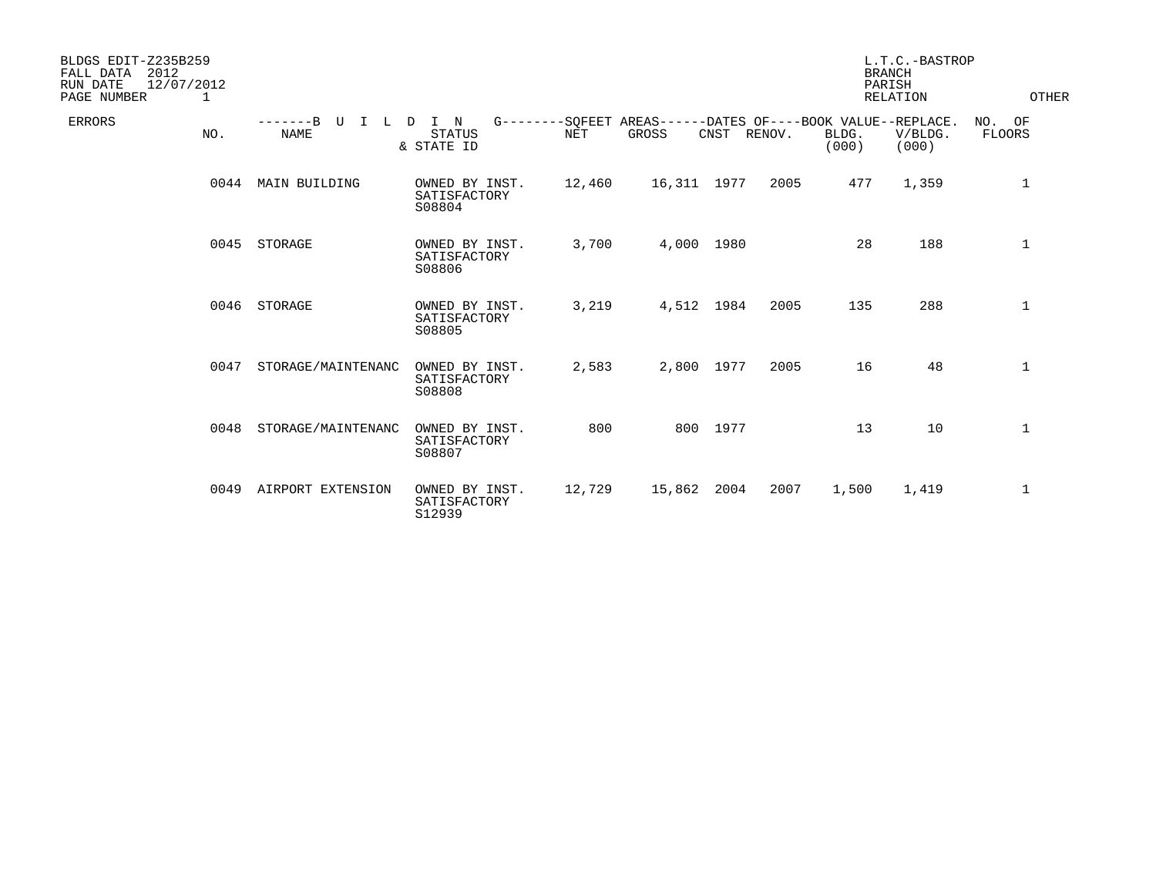| BLDGS EDIT-Z235B259<br>FALL DATA<br>2012<br>RUN DATE<br>12/07/2012<br>PAGE NUMBER<br>1 |                                   |                                          |            |                                                                             |          |        |                | L.T.C.-BASTROP<br><b>BRANCH</b><br>PARISH<br><b>RELATION</b> | OTHER                   |
|----------------------------------------------------------------------------------------|-----------------------------------|------------------------------------------|------------|-----------------------------------------------------------------------------|----------|--------|----------------|--------------------------------------------------------------|-------------------------|
| <b>ERRORS</b><br>NO.                                                                   | $---R$<br>TT<br>т.<br><b>NAME</b> | I N<br>D.<br><b>STATUS</b><br>& STATE ID | <b>NET</b> | G--------SOFEET AREAS------DATES OF----BOOK VALUE--REPLACE.<br><b>GROSS</b> | CNST     | RENOV. | BLDG.<br>(000) | V/BLDG.<br>(000)                                             | NO. OF<br><b>FLOORS</b> |
| 0044                                                                                   | MAIN BUILDING                     | OWNED BY INST.<br>SATISFACTORY<br>S08804 | 12,460     | 16,311 1977                                                                 |          | 2005   | 477            | 1,359                                                        | 1                       |
| 0045                                                                                   | STORAGE                           | OWNED BY INST.<br>SATISFACTORY<br>S08806 | 3,700      | 4,000 1980                                                                  |          |        | 28             | 188                                                          | 1                       |
| 0046                                                                                   | STORAGE                           | OWNED BY INST.<br>SATISFACTORY<br>S08805 | 3,219      | 4,512 1984                                                                  |          | 2005   | 135            | 288                                                          | $\mathbf{1}$            |
| 0047                                                                                   | STORAGE/MAINTENANC                | OWNED BY INST.<br>SATISFACTORY<br>S08808 | 2,583      | 2,800 1977                                                                  |          | 2005   | 16             | 48                                                           | $\mathbf{1}$            |
| 0048                                                                                   | STORAGE/MAINTENANC                | OWNED BY INST.<br>SATISFACTORY<br>S08807 | 800        |                                                                             | 800 1977 |        | 13             | 10                                                           | $\mathbf{1}$            |
| 0049                                                                                   | AIRPORT EXTENSION                 | OWNED BY INST.<br>SATISFACTORY<br>S12939 | 12,729     | 15,862                                                                      | 2004     | 2007   | 1,500          | 1,419                                                        | 1                       |